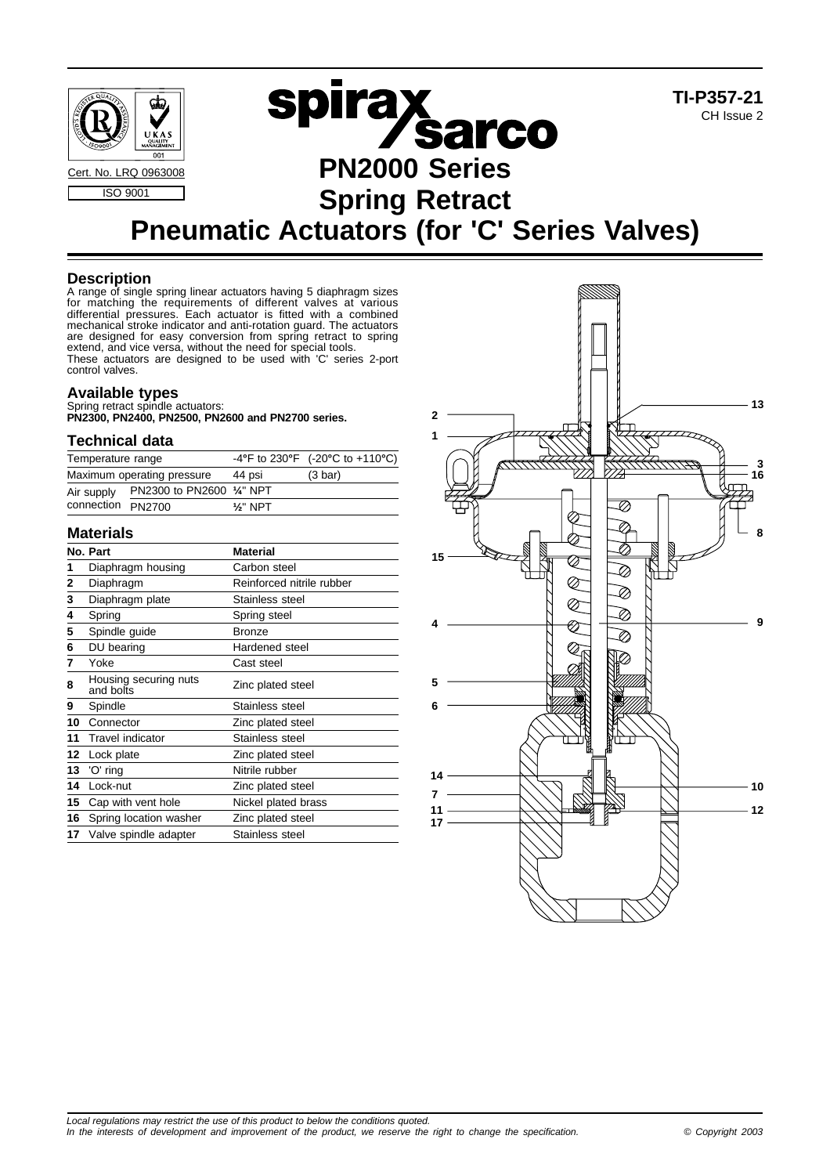

**Description**

A range of single spring linear actuators having 5 diaphragm sizes for matching the requirements of different valves at various differential pressures. Each actuator is fitted with a combined mechanical stroke indicator and anti-rotation guard. The actuators are designed for easy conversion from spring retract to spring extend, and vice versa, without the need for special tools. These actuators are designed to be used with 'C' series 2-port control valves.

# **Available types**

Spring retract spindle actuators: **PN2300, PN2400, PN2500, PN2600 and PN2700 series.**

#### **Technical data**

| Temperature range |                            |                     | $-4^{\circ}$ F to 230°F (-20°C to +110°C) |  |  |
|-------------------|----------------------------|---------------------|-------------------------------------------|--|--|
|                   | Maximum operating pressure | 44 psi              | $(3 \text{ bar})$                         |  |  |
| Air supply        | PN2300 to PN2600 1/4" NPT  |                     |                                           |  |  |
| connection PN2700 |                            | $\frac{1}{2}$ " NPT |                                           |  |  |

### **Materials**

|    | No. Part                           | Material                  |
|----|------------------------------------|---------------------------|
| 1  | Diaphragm housing                  | Carbon steel              |
| 2  | Diaphragm                          | Reinforced nitrile rubber |
| 3  | Diaphragm plate                    | Stainless steel           |
| 4  | Spring                             | Spring steel              |
| 5  | Spindle guide                      | <b>Bronze</b>             |
| 6  | DU bearing                         | Hardened steel            |
| 7  | Yoke                               | Cast steel                |
| 8  | Housing securing nuts<br>and bolts | Zinc plated steel         |
| 9  | Spindle                            | Stainless steel           |
| 10 | Connector                          | Zinc plated steel         |
| 11 | Travel indicator                   | Stainless steel           |
| 12 | Lock plate                         | Zinc plated steel         |
| 13 | 'O' ring                           | Nitrile rubber            |
| 14 | Lock-nut                           | Zinc plated steel         |
| 15 | Cap with vent hole                 | Nickel plated brass       |
| 16 | Spring location washer             | Zinc plated steel         |
| 17 | Valve spindle adapter              | Stainless steel           |